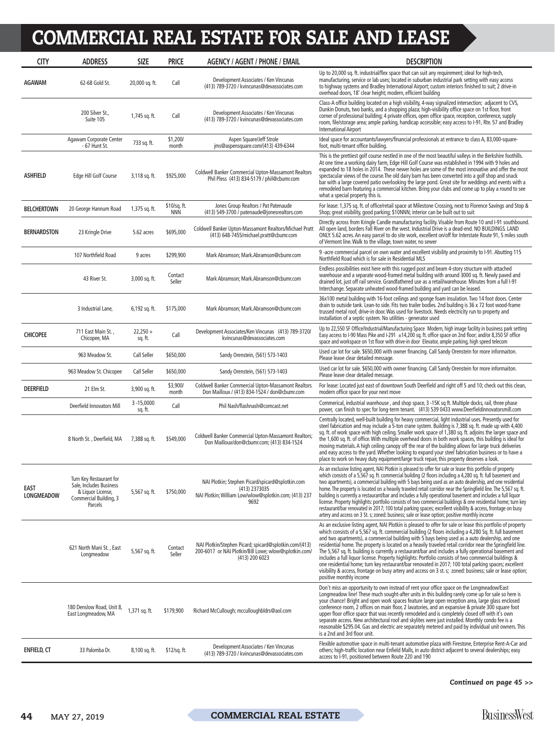| <b>CITY</b>                      | <b>ADDRESS</b>                                                                                               | <b>SIZE</b>              | <b>PRICE</b>               | <b>AGENCY / AGENT / PHONE / EMAIL</b>                                                                                              | <b>DESCRIPTION</b>                                                                                                                                                                                                                                                                                                                                                                                                                                                                                                                                                                                                                                                                                                                                                                                                                                                                                          |
|----------------------------------|--------------------------------------------------------------------------------------------------------------|--------------------------|----------------------------|------------------------------------------------------------------------------------------------------------------------------------|-------------------------------------------------------------------------------------------------------------------------------------------------------------------------------------------------------------------------------------------------------------------------------------------------------------------------------------------------------------------------------------------------------------------------------------------------------------------------------------------------------------------------------------------------------------------------------------------------------------------------------------------------------------------------------------------------------------------------------------------------------------------------------------------------------------------------------------------------------------------------------------------------------------|
| <b>AGAWAM</b>                    | 62-68 Gold St.                                                                                               | 20,000 sq. ft.           | Call                       | Development Associates / Ken Vincunas<br>(413) 789-3720 / kvincunas@devassociates.com                                              | Up to 20,000 sq. ft. industrial/flex space that can suit any requirement; ideal for high-tech,<br>manufacturing, service or lab uses; located in suburban industrial park setting with easy access<br>to highway systems and Bradley International Airport; custom interiors finished to suit; 2 drive-in<br>overhead doors, 18' clear height; modern, efficient building                                                                                                                                                                                                                                                                                                                                                                                                                                                                                                                                   |
|                                  | 200 Silver St.,<br>Suite 105                                                                                 | 1,745 sq. ft.            | Call                       | Development Associates / Ken Vincunas<br>(413) 789-3720 / kvincunas@devassociates.com                                              | Class-A office building located on a high visibility, 4-way signalized intersection; adjacent to CVS,<br>Dunkin Donuts, two banks, and a shopping plaza; high-visibility office space on 1st floor, front<br>corner of professional building; 4 private offices, open office space, reception, conference, supply<br>room, file/storage area; ample parking, handicap accessible; easy access to I-91, Rte. 57 and Bradley<br><b>International Airport</b>                                                                                                                                                                                                                                                                                                                                                                                                                                                  |
|                                  | Agawam Corporate Center<br>- 67 Hunt St.                                                                     | 733 sq. ft.              | \$1,200/<br>month          | Aspen Square/Jeff Strole<br>ims@aspensquare.com/(413) 439-6344                                                                     | Ideal space for accountants/lawyers/financial professionals at entrance to class A, 83,000-square-<br>foot, multi-tenant office building.                                                                                                                                                                                                                                                                                                                                                                                                                                                                                                                                                                                                                                                                                                                                                                   |
| <b>ASHFIELD</b>                  | Edge Hill Golf Course                                                                                        | 3,118 sq. ft.            | \$925,000                  | <b>Coldwell Banker Commercial Upton-Massamont Realtors</b><br>Phil Pless (413) 834-5179 / phil@cbumr.com                           | This is the prettiest golf course nestled in one of the most beautiful valleys in the Berkshire foothills.<br>At one time a working dairy farm, Edge Hill Golf Course was established in 1994 with 9 holes and<br>expanded to 18 holes in 2014. These newer holes are some of the most innovative and offer the most<br>spectacular views of the course. The old dairy barn has been converted into a golf shop and snack<br>bar with a large covered patio overlooking the large pond. Great site for weddings and events with a<br>remodeled barn featuring a commercial kitchen. Bring your clubs and come up to play a round to see<br>what a special property this is.                                                                                                                                                                                                                                 |
| <b>BELCHERTOWN</b>               | 20 George Hannum Road                                                                                        | 1,375 sq. ft.            | \$10/sq. ft.<br><b>NNN</b> | Jones Group Realtors / Pat Patenaude<br>(413) 549-3700 / patenaude@jonesrealtors.com                                               | For lease: 1,375 sq. ft. of office/retail space at Milestone Crossing, next to Florence Savings and Stop &<br>Shop; great visibility, good parking; \$10NNN; interior can be built out to suit                                                                                                                                                                                                                                                                                                                                                                                                                                                                                                                                                                                                                                                                                                              |
| <b>BERNARDSTON</b>               | 23 Kringle Drive                                                                                             | 5.62 acres               | \$695,000                  | Coldwell Banker Upton-Massamont Realtors/Michael Pratt<br>(413) 648-7455/michael.pratt@cbumr.com                                   | Directly across from Kringle Candle manufacturing facility. Visable from Route 10 and I-91 southbound.<br>All open land, borders Fall River on the west. Industrial Drive is a dead-end. NO BUILDINGS. LAND<br>ONLY. 5.62 acres. An easy parcel to do site work, excellent on/off for Interstate Route 91, 5 miles south<br>of Vermont line. Walk to the village, town water, no sewer                                                                                                                                                                                                                                                                                                                                                                                                                                                                                                                      |
|                                  | 107 Northfield Road                                                                                          | 9 acres                  | \$299,900                  | Mark Abramson; Mark.Abramson@cbumr.com                                                                                             | 9-acre commercial parcel on own water and excellent visibility and proximity to I-91. Abutting 115<br>Northfield Road which is for sale in Residential MLS                                                                                                                                                                                                                                                                                                                                                                                                                                                                                                                                                                                                                                                                                                                                                  |
|                                  | 43 River St.                                                                                                 | 3,000 sq. ft.            | Contact<br>Seller          | Mark Abramson; Mark.Abramson@cbumr.com                                                                                             | Endless possibilities exist here with this rugged post and beam 4-story structure with attached<br>warehouse and a separate wood-framed metal building with around 3000 sq. ft. Newly paved and<br>drained lot, just off rail service. Grandfathered use as a retail/warehouse. Minutes from a full I-91<br>Interchange. Separate unheated wood-framed building and yard can be leased.                                                                                                                                                                                                                                                                                                                                                                                                                                                                                                                     |
|                                  | 3 Industrial Lane,                                                                                           | 6,192 sq. ft.            | \$175,000                  | Mark Abramson; Mark.Abramson@cbumr.com                                                                                             | 36x100 metal building with 16-foot ceilings and sponge foam insulation. Two 14 foot doors. Center<br>drain to outside tank. Lean-to side. Fits two trailer bodies. 2nd building is 36 x 72 foot wood-frame<br>trussed metal roof, drive-in door. Was used for livestock. Needs electricity run to property and<br>installation of a septic system. No utilities - generator used                                                                                                                                                                                                                                                                                                                                                                                                                                                                                                                            |
| <b>CHICOPEE</b>                  | 711 East Main St.,<br>Chicopee, MA                                                                           | $22,250 +$<br>sq. ft.    | Call                       | Development Associates/Ken Vincunas (413) 789-3720/<br>kvincunas@devassociates.com                                                 | Up to 22,550 SF Office/Industrial/Manufacturing Space Modern, high image facility in business park setting<br>Easy access to I-90 Mass Pike and I-291 $\pm$ 14,200 sq. ft. office space on 2nd floor; and/or 8,350 SF office<br>space and workspace on 1st floor with drive-in door Elevator, ample parking, high speed telecom                                                                                                                                                                                                                                                                                                                                                                                                                                                                                                                                                                             |
|                                  | 963 Meadow St.                                                                                               | Call Seller              | \$650,000                  | Sandy Orenstein, (561) 573-1403                                                                                                    | Used car lot for sale. \$650,000 with owner financing. Call Sandy Orenstein for more informaiton.<br>Please leave clear detailed message.                                                                                                                                                                                                                                                                                                                                                                                                                                                                                                                                                                                                                                                                                                                                                                   |
|                                  | 963 Meadow St. Chicopee                                                                                      | Call Seller              | \$650,000                  | Sandy Orenstein, (561) 573-1403                                                                                                    | Used car lot for sale. \$650,000 with owner financing. Call Sandy Orenstein for more informaiton.<br>Please leave clear detailed message.                                                                                                                                                                                                                                                                                                                                                                                                                                                                                                                                                                                                                                                                                                                                                                   |
| <b>DEERFIELD</b>                 | 21 Elm St.                                                                                                   | 3,900 sq. ft.            | \$3,900/<br>month          | <b>Coldwell Banker Commercial Upton-Massamont Realtors</b><br>Don Mailloux / (413) 834-1524 / don@cbumr.com                        | For lease: Located just east of downtown South Deerfield and right off 5 and 10; check out this clean,<br>modern office space for your next move                                                                                                                                                                                                                                                                                                                                                                                                                                                                                                                                                                                                                                                                                                                                                            |
|                                  | Deerfield Innovators Mill                                                                                    | $3 - 15,0000$<br>sq. ft. | Call                       | Phil Nash/flashnash@comcast.net                                                                                                    | Commerical, industrial warehouse, and shop space, 3 -15K sq ft. Multiple docks, rail, three phase<br>power, can finish to spec for long-term tenant. (413) 539 0433 www.Deerfieldinnovatorsmill.com                                                                                                                                                                                                                                                                                                                                                                                                                                                                                                                                                                                                                                                                                                         |
|                                  | 8 North St., Deerfield, MA                                                                                   | 7,388 sq. ft.            | \$549,000                  | <b>Coldwell Banker Commercial Upton-Massamont Realtors;</b><br>Don Mailloux/don@cbumr.com; (413) 834-1524                          | Centrally located, well-built building for heavy commercial, light industrial uses. Presently used for<br>steel fabrication and may include a 5-ton crane system. Building is 7,388 sq. ft. made up with 4,400<br>sq. ft. of work space with high ceiling. Smaller work space of 1,380 sq. ft. adjoins the larger space and<br>the 1,600 sq. ft. of office. With multiple overhead doors in both work spaces, this building is ideal for<br>moving materials. A high ceiling canopy off the rear of the building allows for large truck deliveries<br>and easy access to the yard. Whether looking to expand your steel fabrication business or to have a<br>place to work on heavy duty equipment/large truck repair, this property deserves a look.                                                                                                                                                       |
| <b>EAST</b><br><b>LONGMEADOW</b> | Turn Key Restaurant for<br>Sale, Includes Business<br>& Liquor License,<br>Commercial Building, 3<br>Parcels | 5,567 sq. ft.            | \$750,000                  | NAI Plotkin; Stephen Picard/spicard@splotkin.com<br>(413) 2373035<br>NAI Plotkin; William Low/wlow@splotkin.com; (413) 237<br>9692 | As an exclusive listing agent, NAI Plotkin is pleased to offer for sale or lease this portfolio of property<br>which consists of a 5,567 sq. ft. commercial building (2 floors including a 4,280 sq. ft. full basement and<br>two apartments), a commercial building with 5 bays being used as an auto dealership, and one residential<br>home. The property is located on a heavily traveled retail corridor near the Springfield line. The 5,567 sq. ft.<br>building is currently a restaurant/bar and includes a fully operational basement and includes a full liquor<br>license. Property highlights: portfolio consists of two commercial buildings & one residential home; turn key<br>restaurant/bar renovated in 2017; 100 total parking spaces; excellent visibility & access, frontage on busy<br>artery and access on 3 St. s; zoned: business; sale or lease option; positive monthly income   |
|                                  | 621 North Mani St., East<br>Longmeadow                                                                       | 5,567 sq. ft.            | Contact<br>Seller          | NAI Plotkin/Stephen Picard; spicard@splotkin.com/(413)<br>200-6017 or NAI Plotkin/Bill Lowe; wlow@splotkin.com/<br>(413) 200 6023  | As an exclusive listing agent, NAI Plotkin is pleased to offer for sale or lease this portfolio of property<br>which consists of a 5,567 sq. ft. commercial building (2 floors including a 4,280 Sq. ft. full basement<br>and two apartments), a commercial building with 5 bays being used as a auto dealership, and one<br>residential home. The property is located on a heavily traveled retail corridor near the Springfield line.<br>The 5,567 sq. ft. building is currently a restaurant/bar and includes a fully operational basement and<br>includes a full liquor license. Property highlights: Portfolio consists of two commercial buildings &<br>one residential home; turn key restaurant/bar renovated in 2017; 100 total parking spaces; excellent<br>visibility & access, frontage on busy artery and access on 3 st. s; zoned: business; sale or lease option;<br>positive monthly income |
|                                  | 180 Denslow Road, Unit 8,<br>East Longmeadow, MA                                                             | 1,371 sq. ft.            | \$179,900                  | Richard McCullough; mcculloughbldrs@aol.com                                                                                        | Don't miss an opportunity to own instead of rent your office space on the Longmeadow/East<br>Longmeadow line! These much sought-after units in this building rarely come up for sale so here is<br>your chance! Bright and open work spaces feature large open reception area, large glass enclosed<br>conference room, 2 offices on main floor, 2 lavatories, and an expansive & private 300 square foot<br>upper floor office space that was recently remodeled and is completely closed off with it's own<br>separate access. New architectural roof and skylites were just installed. Monthly condo fee is a<br>reasonable \$295.04. Gas and electric are separately metered and paid by individual unit owners. This<br>is a 2nd and 3rd floor unit.                                                                                                                                                   |
| <b>ENFIELD, CT</b>               | 33 Palomba Dr.                                                                                               | 8,100 sq. ft.            | \$12/sq. ft.               | Development Associates / Ken Vincunas<br>(413) 789-3720 / kvincunas@devassociates.com                                              | Flexible automotive space in multi-tenant automotive plaza with Firestone, Enterprise Rent-A-Car and<br>others; high-traffic location near Enfield Malls, in auto district adjacent to several dealerships; easy<br>access to 1-91, positioned between Route 220 and 190                                                                                                                                                                                                                                                                                                                                                                                                                                                                                                                                                                                                                                    |

*Continued on page 45 >>*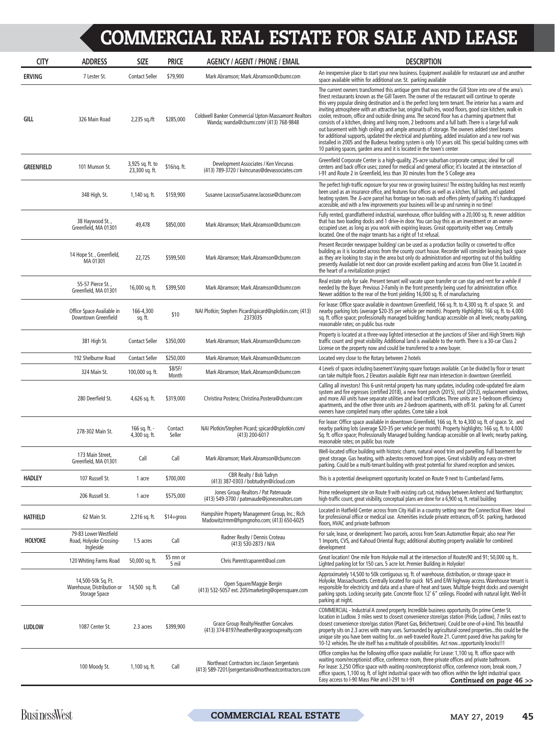| <b>CITY</b>       | <b>ADDRESS</b>                                                                          | <b>SIZE</b>                        | <b>PRICE</b>        | <b>AGENCY / AGENT / PHONE / EMAIL</b>                                                                | <b>DESCRIPTION</b>                                                                                                                                                                                                                                                                                                                                                                                                                                                                                                                                                                                                                                                                                                                                                                                                                                                                                                                                                                                                               |
|-------------------|-----------------------------------------------------------------------------------------|------------------------------------|---------------------|------------------------------------------------------------------------------------------------------|----------------------------------------------------------------------------------------------------------------------------------------------------------------------------------------------------------------------------------------------------------------------------------------------------------------------------------------------------------------------------------------------------------------------------------------------------------------------------------------------------------------------------------------------------------------------------------------------------------------------------------------------------------------------------------------------------------------------------------------------------------------------------------------------------------------------------------------------------------------------------------------------------------------------------------------------------------------------------------------------------------------------------------|
| <b>ERVING</b>     | 7 Lester St.                                                                            | <b>Contact Seller</b>              | \$79,900            | Mark Abramson; Mark.Abramson@cbumr.com                                                               | An inexpensive place to start your new business. Equipment available for restaurant use and another<br>space available within for additional use. St. parking available                                                                                                                                                                                                                                                                                                                                                                                                                                                                                                                                                                                                                                                                                                                                                                                                                                                          |
| GILL              | 326 Main Road                                                                           | 2,235 sq./ft                       | \$285,000           | <b>Coldwell Banker Commercial Upton-Massamont Realtors</b><br>Wanda; wanda@cbumr.com/ (413) 768-9848 | The current owners transformed this antique gem that was once the Gill Store into one of the area's<br>finest restaurants known as the Gill Tavern. The owner of the restaurant will continue to operate<br>this very popular dining destination and is the perfect long term tenant. The interior has a warm and<br>inviting atmosphere with an attractive bar, original built-ins, wood floors, good size kitchen, walk-in<br>cooler, restroom, office and outside dining area. The second floor has a charming apartment that<br>consists of a kitchen, dining and living room, 2 bedrooms and a full bath. There is a large full walk<br>out basement with high ceilings and ample amounts of storage. The owners added steel beams<br>for additional supports, updated the electrical and plumbing, added insulation and a new roof was<br>installed in 2005 and the Buderus heating system is only 10 years old. This special building comes with<br>10 parking spaces, garden area and it is located in the town's center |
| <b>GREENFIELD</b> | 101 Munson St.                                                                          | 3,925 sq. ft. to<br>23,300 sq. ft. | \$16/sq. ft.        | Development Associates / Ken Vincunas<br>(413) 789-3720 / kvincunas@devassociates.com                | Greenfield Corporate Center is a high-quality, 25-acre suburban corporate campus; ideal for call<br>centers and back office uses; zoned for medical and general office; it's located at the intersection of<br>I-91 and Route 2 in Greenfield, less than 30 minutes from the 5 College area                                                                                                                                                                                                                                                                                                                                                                                                                                                                                                                                                                                                                                                                                                                                      |
|                   | 348 High, St.                                                                           | 1,140 sq. ft.                      | \$159,900           | Susanne Lacosse/Susanne.lacosse@cbumr.com                                                            | The perfect high-traffic exposure for your new or growing business! The existing building has most recently<br>been used as an insurance office, and features four offices as well as a kitchen, full bath, and updated<br>heating system. The .6-acre parcel has frontage on two roads and offers plenty of parking. It's handicapped<br>accessible, and with a few improvements your business will be up and running in no time!                                                                                                                                                                                                                                                                                                                                                                                                                                                                                                                                                                                               |
|                   | 38 Haywood St.,<br>Greenfield, MA 01301                                                 | 49,478                             | \$850,000           | Mark Abramson; Mark.Abramson@cbumr.com                                                               | Fully rented, grandfathered industrial, warehouse, office building with a 20,000 sq. ft. newer addition<br>that has two loading docks and 1 drive-in door. You can buy this as an investment or an owner-<br>occupied user, as long as you work with expiring leases. Great opportunity either way. Centrally<br>located. One of the major tenants has a right of 1st refusal.                                                                                                                                                                                                                                                                                                                                                                                                                                                                                                                                                                                                                                                   |
|                   | 14 Hope St., Greenfield,<br>MA 01301                                                    | 22,725                             | \$599,500           | Mark Abramson; Mark.Abramson@cbumr.com                                                               | Present Recorder newspaper building/ can be used as a production facility or converted to office<br>building as it is located across from the county court house. Recorder will consider leasing back space<br>as they are looking to stay in the area but only do administration and reporting out of this building<br>presently. Available lot next door can provide excellent parking and access from Olive St. Located in<br>the heart of a revitalization project                                                                                                                                                                                                                                                                                                                                                                                                                                                                                                                                                           |
|                   | 55-57 Pierce St.,<br>Greenfield, MA 01301                                               | 16,000 sq. ft.                     | \$399,500           | Mark Abramson; Mark.Abramson@cbumr.com                                                               | Real estate only for sale. Present tenant will vacate upon transfer or can stay and rent for a while if<br>needed by the Buyer. Previous 2-Family in the front presently being used for administration office.<br>Newer addition to the rear of the front yielding 16,000 sq. ft. of manufacturing                                                                                                                                                                                                                                                                                                                                                                                                                                                                                                                                                                                                                                                                                                                               |
|                   | Office Space Available in<br>Downtown Greenfield                                        | 166-4,300<br>sq. ft.               | \$10                | NAI Plotkin; Stephen Picard/spicard@splotkin.com; (413)<br>2373035                                   | For lease: Office space available in downtown Greenfield, 166 sq. ft. to 4,300 sq. ft. of space. St. and<br>nearby parking lots (average \$20-35 per vehicle per month). Property Highlights: 166 sq. ft. to 4,000<br>sq. ft. office space; professionally managed building; handicap accessible on all levels; nearby parking,<br>reasonable rates; on public bus route                                                                                                                                                                                                                                                                                                                                                                                                                                                                                                                                                                                                                                                         |
|                   | 381 High St.                                                                            | <b>Contact Seller</b>              | \$350,000           | Mark Abramson; Mark.Abramson@cbumr.com                                                               | Property is located at a three-way lighted intersection at the junctions of Silver and High Streets High<br>traffic count and great visibility. Additional land is available to the north. There is a 30-car Class 2<br>License on the property now and could be transferred to a new buyer.                                                                                                                                                                                                                                                                                                                                                                                                                                                                                                                                                                                                                                                                                                                                     |
|                   | 192 Shelburne Road                                                                      | <b>Contact Seller</b>              | \$250,000           | Mark Abramson; Mark.Abramson@cbumr.com                                                               | Located very close to the Rotary between 2 hotels                                                                                                                                                                                                                                                                                                                                                                                                                                                                                                                                                                                                                                                                                                                                                                                                                                                                                                                                                                                |
|                   | 324 Main St.                                                                            | 100,000 sq. ft.                    | \$8/SF/<br>Month    | Mark Abramson; Mark.Abramson@cbumr.com                                                               | 4 Levels of spaces including basement Varying square footages available. Can be divided by floor or tenant<br>can take multiple floors. 2 Elevators available. Right near main intersection in downtown Greenfield.                                                                                                                                                                                                                                                                                                                                                                                                                                                                                                                                                                                                                                                                                                                                                                                                              |
|                   | 280 Deerfield St.                                                                       | $4,626$ sq. ft.                    | \$319,000           | Christina Postera; Christina.Postera@cbumr.com                                                       | Calling all investors! This 6-unit rental property has many updates, including code-updated fire alarm<br>system and fire egresses (certified 2018), a new front porch (2015), roof (2012), replacement windows,<br>and more. All units have separate utilities and lead certificates. Three units are 1-bedroom efficiency<br>apartments, and the other three units are 2-bedroom apartments, with off-St. parking for all. Current<br>owners have completed many other updates. Come take a look                                                                                                                                                                                                                                                                                                                                                                                                                                                                                                                               |
|                   | 278-302 Main St.                                                                        | 166 sq. ft. -<br>4,300 sq. ft.     | Contact<br>Seller   | NAI Plotkin/Stephen Picard; spicard@splotkin.com/<br>(413) 200-6017                                  | For lease: Office space available in downtown Greenfield, 166 sq. ft. to 4,300 sq. ft. of space. St. and<br>nearby parking lots (average \$20-35 per vehicle per month). Property highlights: 166 sq. ft. to 4,000<br>Sq. ft. office space; Professionally Managed building; handicap accessible on all levels; nearby parking,<br>reasonable rates; on public bus route                                                                                                                                                                                                                                                                                                                                                                                                                                                                                                                                                                                                                                                         |
|                   | 173 Main Street,<br>Greenfield, MA 01301                                                | Call                               | Call                | Mark Abramson; Mark.Abramson@cbumr.com                                                               | Well-located office building with historic charm, natural wood trim and panelling. Full basement for<br>great storage. Gas heating, with asbestos removed from pipes. Great visibility and easy on-street<br>parking. Could be a multi-tenant building with great potential for shared reception and services.                                                                                                                                                                                                                                                                                                                                                                                                                                                                                                                                                                                                                                                                                                                   |
| <b>HADLEY</b>     | 107 Russell St.                                                                         | 1 acre                             | \$700,000           | CBR Realty / Bob Tudryn<br>(413) 387-0303 / bobtudryn@icloud.com                                     | This is a potential development opportunity located on Route 9 next to Cumberland Farms.                                                                                                                                                                                                                                                                                                                                                                                                                                                                                                                                                                                                                                                                                                                                                                                                                                                                                                                                         |
|                   | 206 Russell St.                                                                         | 1 acre                             | \$575,000           | Jones Group Realtors / Pat Patenaude<br>(413) 549-3700 / patenaude@jonesrealtors.com                 | Prime redevelopment site on Route 9 with existing curb cut, midway between Amherst and Northampton;<br>high-traffic count, great visibility, conceptual plans are done for a 6,900 sq. ft. retail building                                                                                                                                                                                                                                                                                                                                                                                                                                                                                                                                                                                                                                                                                                                                                                                                                       |
| <b>HATFIELD</b>   | 62 Main St.                                                                             | 2,216 sq. ft.                      | $$14+qross$         | Hampshire Property Management Group, Inc.; Rich<br>Madowitz/rmm@hpmgnoho.com; (413) 650-6025         | Located in Hatfield Center across from City Hall in a country setting near the Connecticut River. Ideal<br>for professional office or medical use. Amenities include private entrances, off-St. parking, hardwood<br>floors, HVAC and private bathroom                                                                                                                                                                                                                                                                                                                                                                                                                                                                                                                                                                                                                                                                                                                                                                           |
| <b>HOLYOKE</b>    | 79-83 Lower Westfield<br>Road, Holyoke Crossing-<br>Ingleside                           | 1.5 acres                          | Call                | Radner Realty / Dennis Croteau<br>(413) 530-2873 / N/A                                               | For sale, lease, or development: Two parcels, across from Sears Automotive Repair; also near Pier<br>1 Imports, CVS, and Kahoud Oriental Rugs; additional abutting property available for combined<br>development                                                                                                                                                                                                                                                                                                                                                                                                                                                                                                                                                                                                                                                                                                                                                                                                                |
|                   | 120 Whiting Farms Road                                                                  | 50,000 sq. ft.                     | \$5 nnn or<br>5 mil | Chris Parent/caparent@aol.com                                                                        | Great location! One mile from Holyoke mall at the intersection of Routes90 and 91; 50,000 sq. ft<br>Lighted parking lot for 150 cars. 5 acre lot. Premier Building in Holyoke!                                                                                                                                                                                                                                                                                                                                                                                                                                                                                                                                                                                                                                                                                                                                                                                                                                                   |
|                   | 14,500-50k Sq. Ft.<br>Warehouse, Distribution or 14,500 sq. ft.<br><b>Storage Space</b> |                                    | Call                | Open Square/Maggie Bergin<br>(413) 532-5057 ext. 205/marketing@opensquare.com                        | Approximately 14,500 to 50k contiguous sq. ft. of warehouse, distribution, or storage space in<br>Holyoke, Massachusetts. Centrally located for quick N/S and E/W highway access. Warehouse tenant is<br>responsible for electricity and data and a share of heat and taxes. Multiple freight docks and overnight<br>parking spots. Locking security gate. Concrete floor. 12' 6" ceilings. Flooded with natural light. Well-lit<br>parking at night.                                                                                                                                                                                                                                                                                                                                                                                                                                                                                                                                                                            |
| <b>LUDLOW</b>     | 1087 Center St.                                                                         | 2.3 acres                          | \$399,900           | Grace Group Realty/Heather Goncalves<br>(413) 374-8197/heather@gracegrouprealty.com                  | COMMERCIAL - Industrial A zoned property. Incredible business opportunity. On prime Center St.<br>location in Ludlow. 3 miles west to closest convenience store/gas station (Pride, Ludlow), 7 miles east to<br>closest convenience store/gas station (Planet Gas, Belchertown). Could be one-of-a-kind. This beautiful<br>property sits on 2.3 acres with many uses. Surrounded by agricultural-zoned propertiesthis could be the<br>unique site you have been waiting foron well-traveled Route 21. Current paved drive has parking for<br>10-12 vehicles. The site itself has a multitude of possibilities. Act nowopportunity knocks!!!                                                                                                                                                                                                                                                                                                                                                                                      |
|                   | 100 Moody St.                                                                           | 1,100 sq. ft.                      | Call                | Northeast Contractors inc./Jason Sergentanis<br>(413) 589-7201/jsergentanis@northeastcontractors.com | Office complex has the following office space available; For Lease: 1,100 sq. ft. office space with<br>waiting room/receptionist office, conference room, three private offices and private bathroom.<br>For lease: 3,250 Office space with waiting room/receptionist office, conference room, break room, 7<br>office spaces, 1,100 sq. ft. of light industrial space with two offices within the light industrial space.<br>Easy access to I-90 Mass Pike and I-291 to I-91<br>Continued on page 46 >>                                                                                                                                                                                                                                                                                                                                                                                                                                                                                                                         |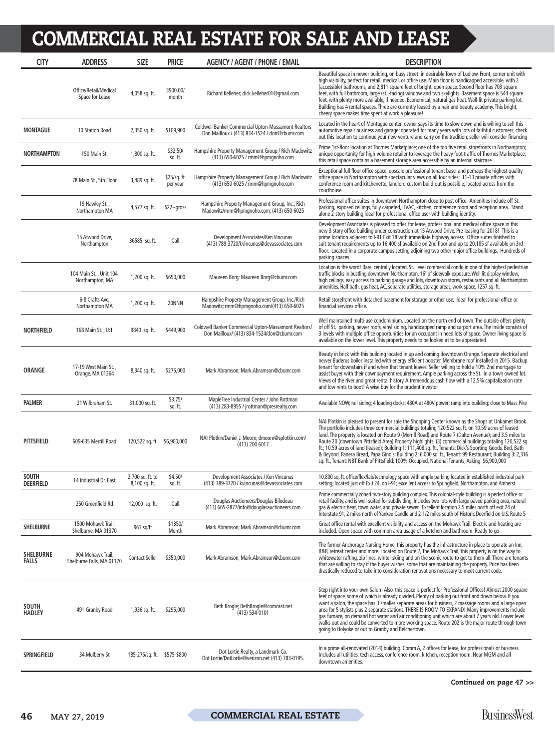| <b>CITY</b>                      | <b>ADDRESS</b>                                 | <b>SIZE</b>                       | <b>PRICE</b>             | <b>AGENCY / AGENT / PHONE / EMAIL</b>                                                                       | <b>DESCRIPTION</b>                                                                                                                                                                                                                                                                                                                                                                                                                                                                                                                                                                                                                                                                                                                                      |
|----------------------------------|------------------------------------------------|-----------------------------------|--------------------------|-------------------------------------------------------------------------------------------------------------|---------------------------------------------------------------------------------------------------------------------------------------------------------------------------------------------------------------------------------------------------------------------------------------------------------------------------------------------------------------------------------------------------------------------------------------------------------------------------------------------------------------------------------------------------------------------------------------------------------------------------------------------------------------------------------------------------------------------------------------------------------|
|                                  | Office/Retail/Medical<br>Space for Lease       | 4,058 sq. ft.                     | 3900.00/<br>month        | Richard Kelleher; dick.kelleher01@qmail.com                                                                 | Beautiful space in newer building, on busy street in desirable Town of Ludlow. Front, corner unit with<br>high visibility, perfect for retail, medical, or office use. Main floor is handicapped accessible, with 2<br>(accessible) bathrooms, and 2,811 square feet of bright, open space. Second floor has 703 square<br>feet, with full bathroom, large (st. -facing) window and two skylights. Basement space is 544 square<br>feet, with plenty more available, if needed. Economical, natural gas heat. Well-lit private parking lot.<br>Building has 4 rental spaces. Three are currently leased by a hair and beauty academy. This bright,<br>cheery space makes time spent at work a pleasure!                                                 |
| <b>MONTAGUE</b>                  | 10 Station Road                                | 2,350 sq. ft.                     | \$109,900                | <b>Coldwell Banker Commercial Upton-Massamont Realtors</b><br>Don Mailloux / (413) 834-1524 / don@cbumr.com | Located in the heart of Montague center; owner says its time to slow down and is willing to sell this<br>automotive repair business and garage; operated for many years with lots of faithful customers; check<br>out this location to continue your new venture and carry on the tradition; seller will consider financing                                                                                                                                                                                                                                                                                                                                                                                                                             |
| NORTHAMPTON                      | 150 Main St.                                   | 1,800 sq. ft.                     | \$32.50/<br>sq. ft.      | Hampshire Property Management Group / Rich Madowitz<br>(413) 650-6025 / rmm@hpmqnoho.com                    | Prime 1st-floor location at Thornes Marketplace; one of the top five retail storefronts in Northampton;<br>unique opportunity for high-volume retailer to leverage the heavy foot traffic of Thornes Marketplace;<br>this retail space contains a basement storage area accessible by an internal staircase                                                                                                                                                                                                                                                                                                                                                                                                                                             |
|                                  | 78 Main St., 5th Floor                         | 3,489 sq. ft.                     | \$25/sq. ft.<br>per year | Hampshire Property Management Group / Rich Madowitz<br>(413) 650-6025 / rmm@hpmgnoho.com                    | Exceptional full floor office space; upscale professional tenant base, and perhaps the highest quality<br>office space in Northampton with spectacular views on all four sides; 11-13 private offices with<br>conference room and kitchenette; landlord custom build-out is possible; located across from the<br>courthouse                                                                                                                                                                                                                                                                                                                                                                                                                             |
|                                  | 19 Hawley St.,<br>Northampton MA               | 4,577 sq. ft.                     | $$22+qross$              | Hampshire Property Management Group, Inc.; Rich<br>Madowitz/rmm@hpmgnoho.com; (413) 650-6025                | Professional office suites in downtown Northampton close to post office. Amenities include off-St.<br>parking, exposed ceilings, fully carpeted, HVAC, kitchen, conference room and reception area. Stand<br>alone 2-story building ideal for professional office user with building identity.                                                                                                                                                                                                                                                                                                                                                                                                                                                          |
|                                  | 15 Atwood Drive,<br>Northampton                | 36585 sq. ft.                     | Call                     | Development Associates/Ken Vincunas<br>(413) 789-3720/kvincunas@devassociates.com                           | Development Associates is pleased to offer, for lease, professional and medical office space in this<br>new 3-story office building under construction at 15 Atwood Drive. Pre-leasing for 2018! This is a<br>prime location adjacent to I-91 Exit 18 with immediate highway access. Office suites finished to<br>suit tenant requirements up to 16,400 sf available on 2nd floor and up to 20,185 sf available on 3rd<br>floor. Located in a corporate campus setting adjoining two other major office buildings. Hundreds of<br>parking spaces                                                                                                                                                                                                        |
|                                  | 104 Main St., Unit 104,<br>Northampton, MA     | 1,200 sq. ft.                     | \$650,000                | Maureen Borg; Maureen.Borg@cbumr.com                                                                        | Location is the word! Rare, centrally located, St. level commercial condo in one of the highest pedestrian<br>traffic blocks in bustling downtown Northampton. 16' of sidewalk exposure. Well lit display window,<br>high ceilings, easy access to parking garage and lots, downtown stores, restaurants and all Northampton<br>amenities. Half bath, gas heat, AC, separate utilities, storage areas, work space, 1257 sq. ft.                                                                                                                                                                                                                                                                                                                         |
|                                  | 6-8 Crafts Ave,<br>Northampton MA              | 1,200 sq. ft.                     | 20NNN                    | Hampshire Property Management Group, Inc./Rich<br>Madowitz; rmm@hpmgnoho.com/(413) 650-6025                 | Retail storefront with detached basement for storage or other use. Ideal for professional office or<br>financial services office.                                                                                                                                                                                                                                                                                                                                                                                                                                                                                                                                                                                                                       |
| <b>NORTHFIELD</b>                | 168 Main St., U:1                              | 9840 sq. ft.                      | \$449,900                | Coldwell Banker Commercial Upton-Massamont Realtors/<br>Don Mailloux/ (413) 834-1524/don@cbumr.com          | Well maintained multi-use condominium. Located on the north end of town. The outside offers plenty<br>of off St. parking, newer roofs, vinyl siding, handicapped ramp and carport area. The inside consists of<br>3 levels with multiple office opportunities for an occupant in need lots of space. Owner living space is<br>available on the lower level. This property needs to be looked at to be appreciated                                                                                                                                                                                                                                                                                                                                       |
| <b>ORANGE</b>                    | 17-19 West Main St.,<br>Orange, MA 01364       | 8,340 sq. ft.                     | \$275,000                | Mark Abramson; Mark.Abramson@cbumr.com                                                                      | Beauty in brick with this building located in up and coming downtown Orange. Separate electrical and<br>newer Buderus boiler installed with energy efficient booster. Membrane roof installed in 2015. Backup<br>tenant for downstairs if and when that tenant leaves. Seller willing to hold a 10% 2nd mortgage to<br>assist buyer with their downpayment requirement. Ample parking across the St. in a town owned lot.<br>Views of the river and great rental history. A tremendous cash flow with a 12.5% capitalization rate<br>and low rents to boot! A wise buy for the prudent investor                                                                                                                                                         |
| <b>PALMER</b>                    | 21 Wilbraham St.                               | 31,000 sq. ft.                    | \$3.75/<br>sq. ft.       | MapleTree Industrial Center / John Rottman<br>(413) 283-8955 / jrottman@presrealty.com                      | Available NOW; rail siding; 4 loading docks; 480A at 480V power; ramp into building; close to Mass Pike                                                                                                                                                                                                                                                                                                                                                                                                                                                                                                                                                                                                                                                 |
| <b>PITTSFIELD</b>                | 609-635 Merrill Road                           | 120,522 sq. ft. \$6,900,000       |                          | NAI Plotkin/Daniel J. Moore; dmoore@splotkin.com/<br>(413) 200 6017                                         | NAI Plotkin is pleased to present for sale the Shopping Center known as the Shops at Unkamet Brook.<br>The portfolio includes three commercial buildings totaling 120,522 sq. ft. on 10.59 acres of leased<br>land. The property is located on Route 9 (Merrill Road) and Route 7 (Dalton Avenue); and 3.5 miles to<br>Route 20 (downtown Pittsfield Area) Property highlights: (3) commercial buildings totaling 120,522 sq.<br>ft., 10.59 acres of land (leased); Building 1: 111,408 sq. ft., Tenants: Dick's Sporting Goods, Bed, Bath<br>& Beyond, Panera Bread, Papa Gino's; Building 2: 6,000 sq. ft., Tenant: 99 Restaurant; Building 3: 2,316<br>sq. ft., Tenant: NBT Bank of Pittsfield; 100% Occupied, National Tenants; Asking: \$6,900,000 |
| <b>SOUTH</b><br><b>DEERFIELD</b> | 14 Industrial Dr. East                         | 2,700 sq. ft. to<br>8,100 sq. ft. | \$4.50/<br>sq. ft.       | Development Associates / Ken Vincunas<br>(413) 789-3720 / kvincunas@devassociates.com                       | 10,800 sq. ft. office/flex/lab/technology space with ample parking located in established industrial park<br>setting; located just off Exit 24, on I-91; excellent access to Springfield, Northampton, and Amherst                                                                                                                                                                                                                                                                                                                                                                                                                                                                                                                                      |
|                                  | 250 Greenfield Rd                              | 12,000 sq. ft.                    | Call                     | Douglas Auctioneers/Douglas Bilodeau<br>(413) 665-2877/info@douglasauctioneers.com                          | Prime commercially zoned two-story building complex. This colonial-style building is a perfect office or<br>retail facility, and is well-suited for subdividing. Includes two lots with large paved parking area, natural<br>gas & electric heat, town water, and private sewer. Excellent location 2.5 miles north off exit 24 of<br>Interstate 91, 2 miles north of Yankee Candle and 2-1/2 miles south of Historic Deerfield on U.S. Route 5                                                                                                                                                                                                                                                                                                         |
| <b>SHELBURNE</b>                 | 1500 Mohawk Trail,<br>Shelburne, MA 01370      | 961 sq/ft                         | \$1350/<br>Month         | Mark Abramson; Mark.Abramson@cbumr.com                                                                      | Great office rental with excellent visibility and access on the Mohawk Trail. Electric and heating are<br>included. Open space with common area usage of a ketchen and bathroom. Ready to go                                                                                                                                                                                                                                                                                                                                                                                                                                                                                                                                                            |
| <b>SHELBURNE</b><br>FALLS        | 904 Mohawk Trail,<br>Shelburne Falls, MA 01370 | <b>Contact Seller</b>             | \$350,000                | Mark Abramson; Mark.Abramson@cbumr.com                                                                      | The former Anchorage Nursing Home, this property has the infrastructure in place to operate an Inn,<br>B&B, retreat center and more. Located on Route 2, The Mohawk Trail, this property is on the way to<br>whitewater rafting, zip lines, winter skiing and on the scenic route to get to them all. There are tenants<br>that are willing to stay if the buyer wishes, some that are maintaining the property. Price has been<br>drastically reduced to take into consideration renovations necessary to meet current code.                                                                                                                                                                                                                           |
| <b>SOUTH</b><br><b>HADLEY</b>    | 491 Granby Road                                | 1,936 sq. ft.                     | \$295,000                | Beth Brogle; BethBrogle@comcast.net<br>$(413) 534-0101$                                                     | Step right into your own Salon! Also, this space is perfect for Professional Offices! Almost 2000 square<br>feet of space, some of which is already divided. Plenty of parking out front and down below. If you<br>want a salon, the space has 3 smaller separate areas for business, 2 massage rooms and a large open<br>area for 5 stylists plus 2 separate stations. THERE IS ROOM TO EXPAND! Many improvements include<br>gas furnace, on demand hot water and air conditioning unit which are about 7 years old. Lower level<br>walks out and could be converted to more working space. Route 202 is the major route through town<br>going to Holyoke or out to Granby and Belchertown.                                                            |
| <b>SPRINGFIELD</b>               | 34 Mulberry St                                 | 185-275/sq. ft. \$575-\$800       |                          | Dot Lortie Realty, a Landmark Co.<br>Dot Lortie/DotLortie@verizon.net (413) 783-0195.                       | In a prime all-renovated (2014) building. Comm A, 2 offices for lease, for professionals or business.<br>Includes all utilities, tech access, conference room, kitchen, reception room. Near MGM and all<br>downtown amenities.                                                                                                                                                                                                                                                                                                                                                                                                                                                                                                                         |
|                                  |                                                |                                   |                          |                                                                                                             |                                                                                                                                                                                                                                                                                                                                                                                                                                                                                                                                                                                                                                                                                                                                                         |

*Continued on page 47 >>*